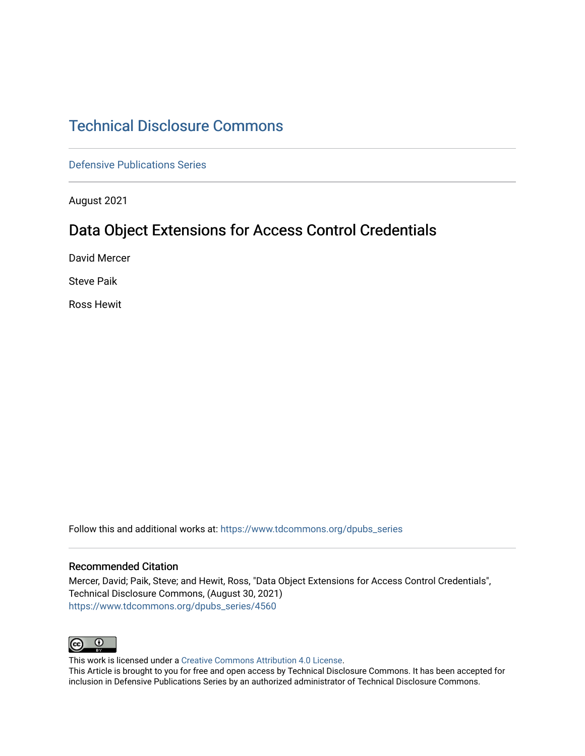# [Technical Disclosure Commons](https://www.tdcommons.org/)

[Defensive Publications Series](https://www.tdcommons.org/dpubs_series)

August 2021

# Data Object Extensions for Access Control Credentials

David Mercer

Steve Paik

Ross Hewit

Follow this and additional works at: [https://www.tdcommons.org/dpubs\\_series](https://www.tdcommons.org/dpubs_series?utm_source=www.tdcommons.org%2Fdpubs_series%2F4560&utm_medium=PDF&utm_campaign=PDFCoverPages) 

#### Recommended Citation

Mercer, David; Paik, Steve; and Hewit, Ross, "Data Object Extensions for Access Control Credentials", Technical Disclosure Commons, (August 30, 2021) [https://www.tdcommons.org/dpubs\\_series/4560](https://www.tdcommons.org/dpubs_series/4560?utm_source=www.tdcommons.org%2Fdpubs_series%2F4560&utm_medium=PDF&utm_campaign=PDFCoverPages)



This work is licensed under a [Creative Commons Attribution 4.0 License](http://creativecommons.org/licenses/by/4.0/deed.en_US).

This Article is brought to you for free and open access by Technical Disclosure Commons. It has been accepted for inclusion in Defensive Publications Series by an authorized administrator of Technical Disclosure Commons.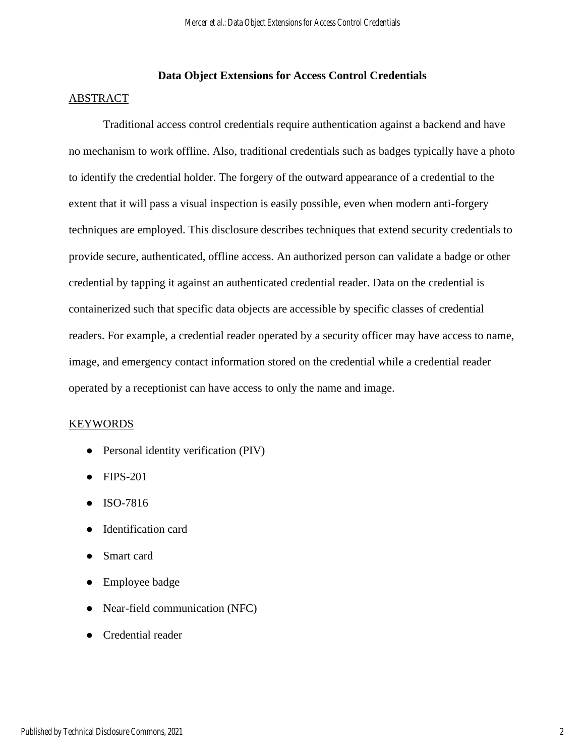## **Data Object Extensions for Access Control Credentials**

#### ABSTRACT

Traditional access control credentials require authentication against a backend and have no mechanism to work offline. Also, traditional credentials such as badges typically have a photo to identify the credential holder. The forgery of the outward appearance of a credential to the extent that it will pass a visual inspection is easily possible, even when modern anti-forgery techniques are employed. This disclosure describes techniques that extend security credentials to provide secure, authenticated, offline access. An authorized person can validate a badge or other credential by tapping it against an authenticated credential reader. Data on the credential is containerized such that specific data objects are accessible by specific classes of credential readers. For example, a credential reader operated by a security officer may have access to name, image, and emergency contact information stored on the credential while a credential reader operated by a receptionist can have access to only the name and image.

#### KEYWORDS

- Personal identity verification (PIV)
- FIPS-201
- ISO-7816
- Identification card
- Smart card
- Employee badge
- Near-field communication (NFC)
- Credential reader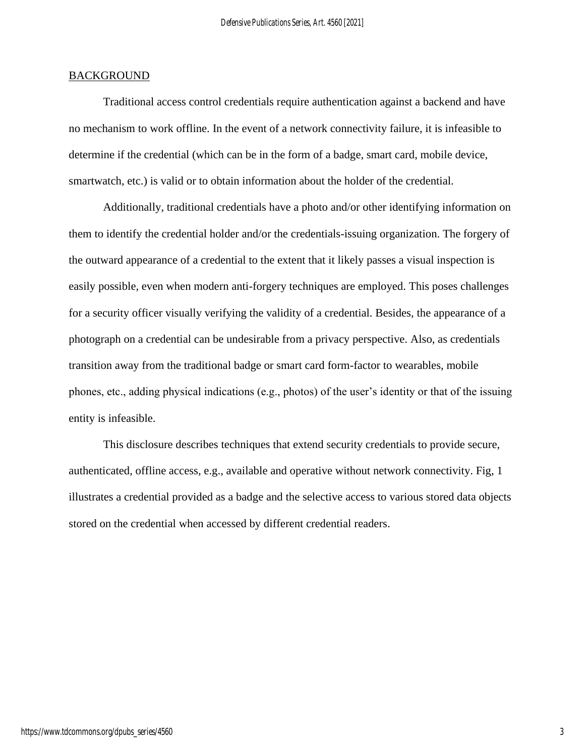#### **BACKGROUND**

Traditional access control credentials require authentication against a backend and have no mechanism to work offline. In the event of a network connectivity failure, it is infeasible to determine if the credential (which can be in the form of a badge, smart card, mobile device, smartwatch, etc.) is valid or to obtain information about the holder of the credential.

Additionally, traditional credentials have a photo and/or other identifying information on them to identify the credential holder and/or the credentials-issuing organization. The forgery of the outward appearance of a credential to the extent that it likely passes a visual inspection is easily possible, even when modern anti-forgery techniques are employed. This poses challenges for a security officer visually verifying the validity of a credential. Besides, the appearance of a photograph on a credential can be undesirable from a privacy perspective. Also, as credentials transition away from the traditional badge or smart card form-factor to wearables, mobile phones, etc., adding physical indications (e.g., photos) of the user's identity or that of the issuing entity is infeasible.

This disclosure describes techniques that extend security credentials to provide secure, authenticated, offline access, e.g., available and operative without network connectivity. Fig, 1 illustrates a credential provided as a badge and the selective access to various stored data objects stored on the credential when accessed by different credential readers.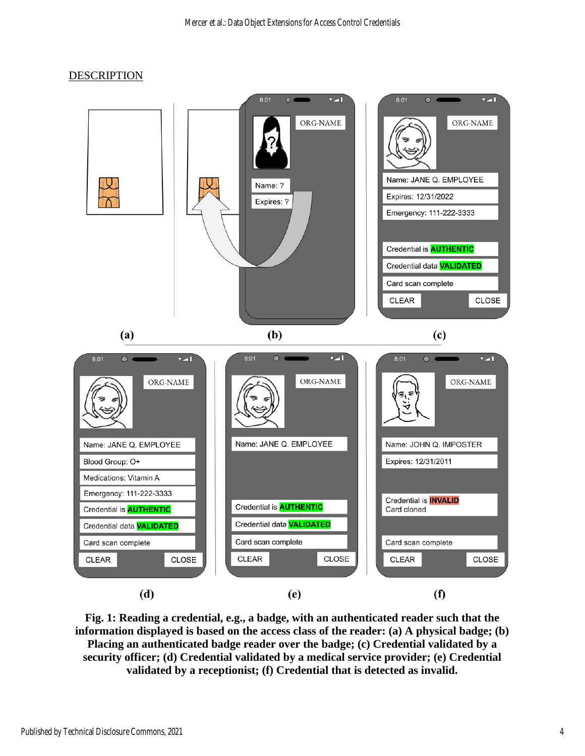### **DESCRIPTION**



**Fig. 1: Reading a credential, e.g., a badge, with an authenticated reader such that the information displayed is based on the access class of the reader: (a) A physical badge; (b) Placing an authenticated badge reader over the badge; (c) Credential validated by a security officer; (d) Credential validated by a medical service provider; (e) Credential validated by a receptionist; (f) Credential that is detected as invalid.**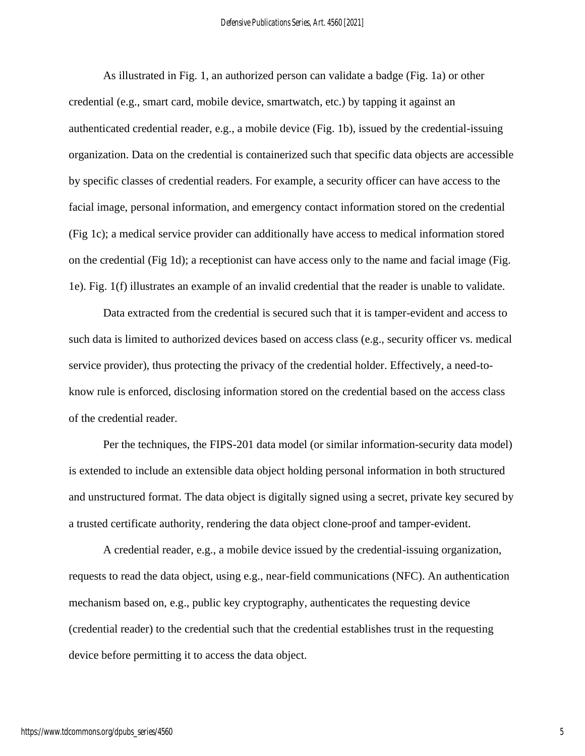As illustrated in Fig. 1, an authorized person can validate a badge (Fig. 1a) or other credential (e.g., smart card, mobile device, smartwatch, etc.) by tapping it against an authenticated credential reader, e.g., a mobile device (Fig. 1b), issued by the credential-issuing organization. Data on the credential is containerized such that specific data objects are accessible by specific classes of credential readers. For example, a security officer can have access to the facial image, personal information, and emergency contact information stored on the credential (Fig 1c); a medical service provider can additionally have access to medical information stored on the credential (Fig 1d); a receptionist can have access only to the name and facial image (Fig. 1e). Fig. 1(f) illustrates an example of an invalid credential that the reader is unable to validate.

Data extracted from the credential is secured such that it is tamper-evident and access to such data is limited to authorized devices based on access class (e.g., security officer vs. medical service provider), thus protecting the privacy of the credential holder. Effectively, a need-toknow rule is enforced, disclosing information stored on the credential based on the access class of the credential reader.

Per the techniques, the FIPS-201 data model (or similar information-security data model) is extended to include an extensible data object holding personal information in both structured and unstructured format. The data object is digitally signed using a secret, private key secured by a trusted certificate authority, rendering the data object clone-proof and tamper-evident.

A credential reader, e.g., a mobile device issued by the credential-issuing organization, requests to read the data object, using e.g., near-field communications (NFC). An authentication mechanism based on, e.g., public key cryptography, authenticates the requesting device (credential reader) to the credential such that the credential establishes trust in the requesting device before permitting it to access the data object.

5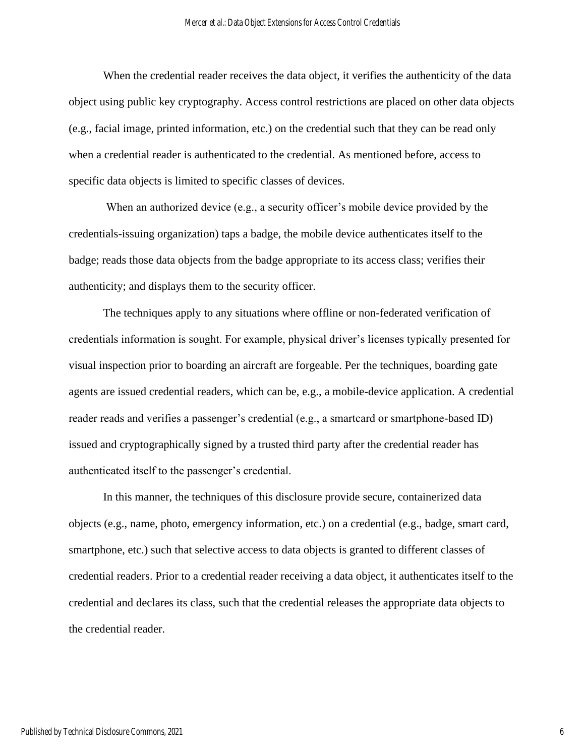When the credential reader receives the data object, it verifies the authenticity of the data object using public key cryptography. Access control restrictions are placed on other data objects (e.g., facial image, printed information, etc.) on the credential such that they can be read only when a credential reader is authenticated to the credential. As mentioned before, access to specific data objects is limited to specific classes of devices.

When an authorized device (e.g., a security officer's mobile device provided by the credentials-issuing organization) taps a badge, the mobile device authenticates itself to the badge; reads those data objects from the badge appropriate to its access class; verifies their authenticity; and displays them to the security officer.

The techniques apply to any situations where offline or non-federated verification of credentials information is sought. For example, physical driver's licenses typically presented for visual inspection prior to boarding an aircraft are forgeable. Per the techniques, boarding gate agents are issued credential readers, which can be, e.g., a mobile-device application. A credential reader reads and verifies a passenger's credential (e.g., a smartcard or smartphone-based ID) issued and cryptographically signed by a trusted third party after the credential reader has authenticated itself to the passenger's credential.

In this manner, the techniques of this disclosure provide secure, containerized data objects (e.g., name, photo, emergency information, etc.) on a credential (e.g., badge, smart card, smartphone, etc.) such that selective access to data objects is granted to different classes of credential readers. Prior to a credential reader receiving a data object, it authenticates itself to the credential and declares its class, such that the credential releases the appropriate data objects to the credential reader.